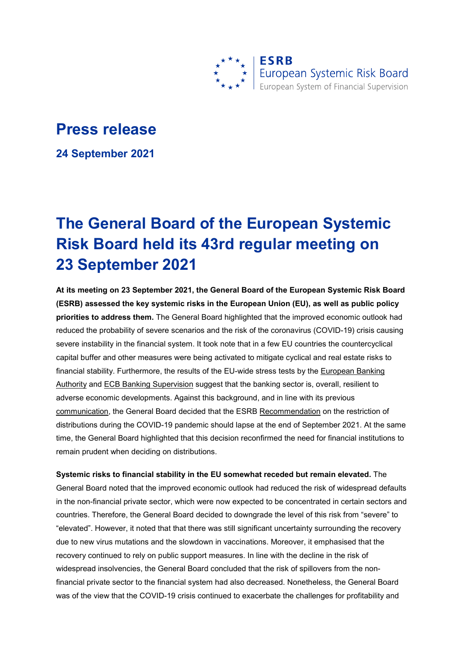

## **Press release**

**24 September 2021**

## **The General Board of the European Systemic Risk Board held its 43rd regular meeting on 23 September 2021**

**At its meeting on 23 September 2021, the General Board of the European Systemic Risk Board (ESRB) assessed the key systemic risks in the European Union (EU), as well as public policy priorities to address them.** The General Board highlighted that the improved economic outlook had reduced the probability of severe scenarios and the risk of the coronavirus (COVID-19) crisis causing severe instability in the financial system. It took note that in a few EU countries the countercyclical capital buffer and other measures were being activated to mitigate cyclical and real estate risks to financial stability. Furthermore, the results of the EU-wide stress tests by the European Banking [Authority](https://www.eba.europa.eu/risk-analysis-and-data/eu-wide-stress-testing) and [ECB Banking Supervision](https://www.bankingsupervision.europa.eu/banking/tasks/stresstests/html/index.en.html) suggest that the banking sector is, overall, resilient to adverse economic developments. Against this background, and in line with its previous [communication,](https://www.esrb.europa.eu/news/pr/date/2021/html/esrb.pr210701%7E5a1e820a4e.en.html) the General Board decided that the ESRB [Recommendation](https://www.esrb.europa.eu/pub/pdf/recommendations/esrb.recommendation200608_on_restriction_of_distributions_during_the_COVID-19_pandemic_2%7Ef4cdad4ec1.en.pdf?472c0a13909b423693bdaea41c32af6b) on the restriction of distributions during the COVID-19 pandemic should lapse at the end of September 2021. At the same time, the General Board highlighted that this decision reconfirmed the need for financial institutions to remain prudent when deciding on distributions.

**Systemic risks to financial stability in the EU somewhat receded but remain elevated.** The General Board noted that the improved economic outlook had reduced the risk of widespread defaults in the non-financial private sector, which were now expected to be concentrated in certain sectors and countries. Therefore, the General Board decided to downgrade the level of this risk from "severe" to "elevated". However, it noted that that there was still significant uncertainty surrounding the recovery due to new virus mutations and the slowdown in vaccinations. Moreover, it emphasised that the recovery continued to rely on public support measures. In line with the decline in the risk of widespread insolvencies, the General Board concluded that the risk of spillovers from the nonfinancial private sector to the financial system had also decreased. Nonetheless, the General Board was of the view that the COVID-19 crisis continued to exacerbate the challenges for profitability and